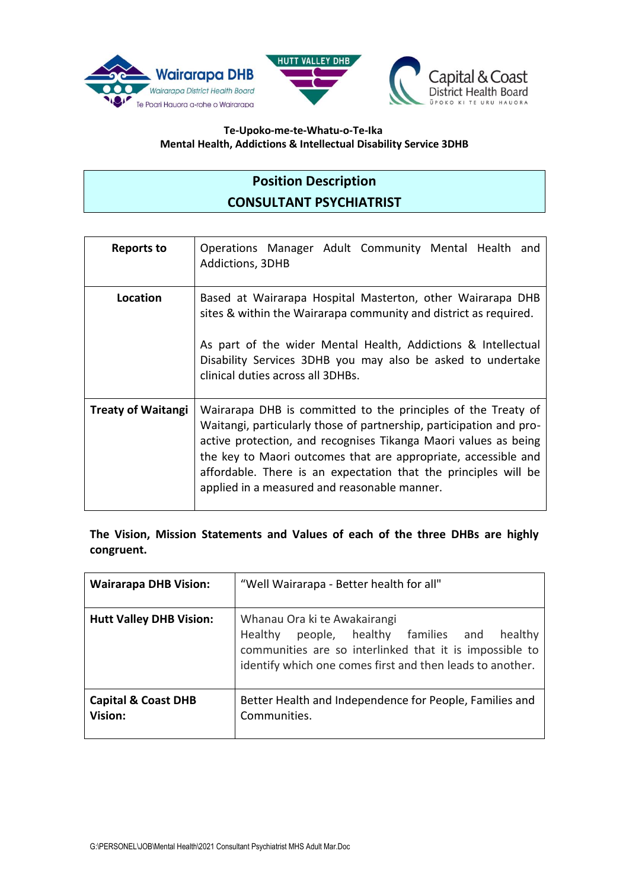





#### **Te-Upoko-me-te-Whatu-o-Te-Ika Mental Health, Addictions & Intellectual Disability Service 3DHB**

## **Position Description CONSULTANT PSYCHIATRIST**

| <b>Reports to</b>         | Operations Manager Adult Community Mental Health<br>and<br><b>Addictions, 3DHB</b>                                                                                                                                                                                                                                                                                                           |
|---------------------------|----------------------------------------------------------------------------------------------------------------------------------------------------------------------------------------------------------------------------------------------------------------------------------------------------------------------------------------------------------------------------------------------|
| Location                  | Based at Wairarapa Hospital Masterton, other Wairarapa DHB<br>sites & within the Wairarapa community and district as required.<br>As part of the wider Mental Health, Addictions & Intellectual<br>Disability Services 3DHB you may also be asked to undertake<br>clinical duties across all 3DHBs.                                                                                          |
| <b>Treaty of Waitangi</b> | Wairarapa DHB is committed to the principles of the Treaty of<br>Waitangi, particularly those of partnership, participation and pro-<br>active protection, and recognises Tikanga Maori values as being<br>the key to Maori outcomes that are appropriate, accessible and<br>affordable. There is an expectation that the principles will be<br>applied in a measured and reasonable manner. |

**The Vision, Mission Statements and Values of each of the three DHBs are highly congruent.**

| <b>Wairarapa DHB Vision:</b>              | "Well Wairarapa - Better health for all"                                                                                                                                                                |  |
|-------------------------------------------|---------------------------------------------------------------------------------------------------------------------------------------------------------------------------------------------------------|--|
| <b>Hutt Valley DHB Vision:</b>            | Whanau Ora ki te Awakairangi<br>Healthy people, healthy families and<br>healthy<br>communities are so interlinked that it is impossible to<br>identify which one comes first and then leads to another. |  |
| <b>Capital &amp; Coast DHB</b><br>Vision: | Better Health and Independence for People, Families and<br>Communities.                                                                                                                                 |  |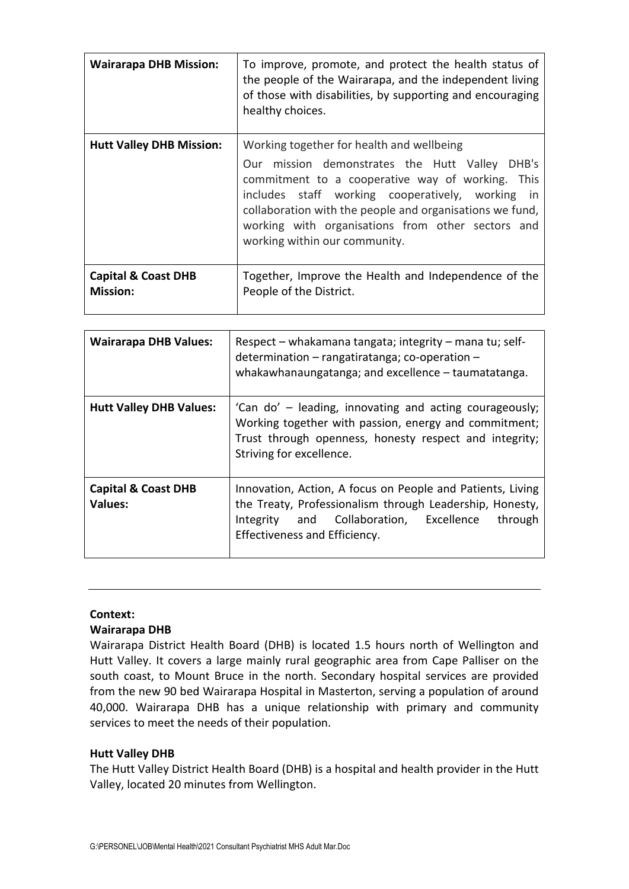| <b>Wairarapa DHB Mission:</b>                     | To improve, promote, and protect the health status of<br>the people of the Wairarapa, and the independent living<br>of those with disabilities, by supporting and encouraging<br>healthy choices.                                                                                                                                                         |  |
|---------------------------------------------------|-----------------------------------------------------------------------------------------------------------------------------------------------------------------------------------------------------------------------------------------------------------------------------------------------------------------------------------------------------------|--|
| <b>Hutt Valley DHB Mission:</b>                   | Working together for health and wellbeing<br>Our mission demonstrates the Hutt Valley DHB's<br>commitment to a cooperative way of working. This<br>includes staff working cooperatively, working<br>in.<br>collaboration with the people and organisations we fund,<br>working with organisations from other sectors and<br>working within our community. |  |
| <b>Capital &amp; Coast DHB</b><br><b>Mission:</b> | Together, Improve the Health and Independence of the<br>People of the District.                                                                                                                                                                                                                                                                           |  |

| <b>Wairarapa DHB Values:</b>                     | Respect – whakamana tangata; integrity – mana tu; self-<br>determination - rangatiratanga; co-operation -<br>whakawhanaungatanga; and excellence - taumatatanga.                                              |
|--------------------------------------------------|---------------------------------------------------------------------------------------------------------------------------------------------------------------------------------------------------------------|
| <b>Hutt Valley DHB Values:</b>                   | 'Can do' – leading, innovating and acting courageously;<br>Working together with passion, energy and commitment;<br>Trust through openness, honesty respect and integrity;<br>Striving for excellence.        |
| <b>Capital &amp; Coast DHB</b><br><b>Values:</b> | Innovation, Action, A focus on People and Patients, Living<br>the Treaty, Professionalism through Leadership, Honesty,<br>Integrity and Collaboration, Excellence<br>through<br>Effectiveness and Efficiency. |

#### **Context:**

#### **Wairarapa DHB**

Wairarapa District Health Board (DHB) is located 1.5 hours north of Wellington and Hutt Valley. It covers a large mainly rural geographic area from Cape Palliser on the south coast, to Mount Bruce in the north. Secondary hospital services are provided from the new 90 bed Wairarapa Hospital in Masterton, serving a population of around 40,000. Wairarapa DHB has a unique relationship with primary and community services to meet the needs of their population.

#### **Hutt Valley DHB**

The Hutt Valley District Health Board (DHB) is a hospital and health provider in the Hutt Valley, located 20 minutes from Wellington.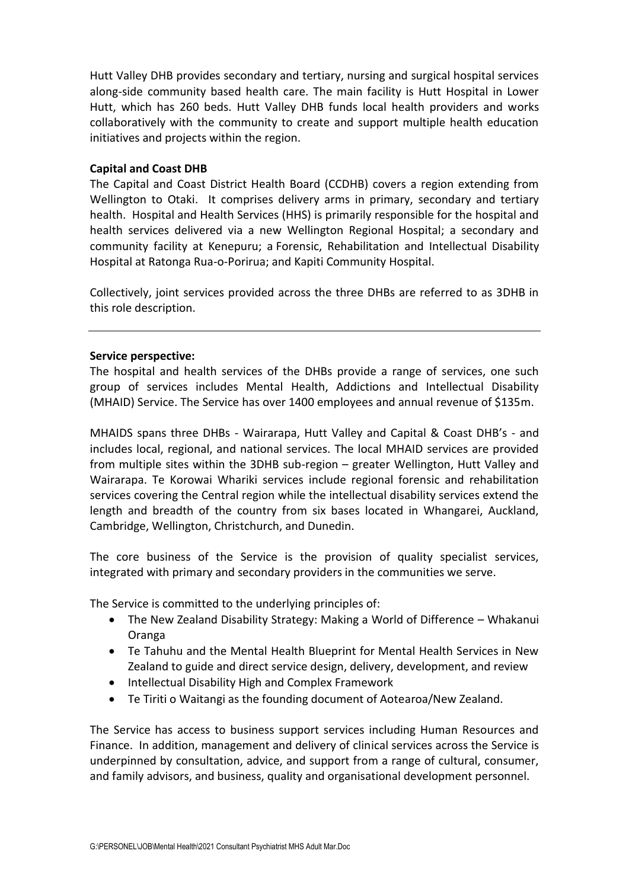Hutt Valley DHB provides secondary and tertiary, nursing and surgical hospital services along-side community based health care. The main facility is Hutt Hospital in Lower Hutt, which has 260 beds. Hutt Valley DHB funds local health providers and works collaboratively with the community to create and support multiple health education initiatives and projects within the region.

#### **Capital and Coast DHB**

The Capital and Coast District Health Board (CCDHB) covers a region extending from Wellington to Otaki. It comprises delivery arms in primary, secondary and tertiary health. Hospital and Health Services (HHS) is primarily responsible for the hospital and health services delivered via a new Wellington Regional Hospital; a secondary and community facility at Kenepuru; a Forensic, Rehabilitation and Intellectual Disability Hospital at Ratonga Rua-o-Porirua; and Kapiti Community Hospital.

Collectively, joint services provided across the three DHBs are referred to as 3DHB in this role description.

#### **Service perspective:**

The hospital and health services of the DHBs provide a range of services, one such group of services includes Mental Health, Addictions and Intellectual Disability (MHAID) Service. The Service has over 1400 employees and annual revenue of \$135m.

MHAIDS spans three DHBs - Wairarapa, Hutt Valley and Capital & Coast DHB's - and includes local, regional, and national services. The local MHAID services are provided from multiple sites within the 3DHB sub-region – greater Wellington, Hutt Valley and Wairarapa. Te Korowai Whariki services include regional forensic and rehabilitation services covering the Central region while the intellectual disability services extend the length and breadth of the country from six bases located in Whangarei, Auckland, Cambridge, Wellington, Christchurch, and Dunedin.

The core business of the Service is the provision of quality specialist services, integrated with primary and secondary providers in the communities we serve.

The Service is committed to the underlying principles of:

- The New Zealand Disability Strategy: Making a World of Difference Whakanui Oranga
- Te Tahuhu and the Mental Health Blueprint for Mental Health Services in New Zealand to guide and direct service design, delivery, development, and review
- Intellectual Disability High and Complex Framework
- Te Tiriti o Waitangi as the founding document of Aotearoa/New Zealand.

The Service has access to business support services including Human Resources and Finance. In addition, management and delivery of clinical services across the Service is underpinned by consultation, advice, and support from a range of cultural, consumer, and family advisors, and business, quality and organisational development personnel.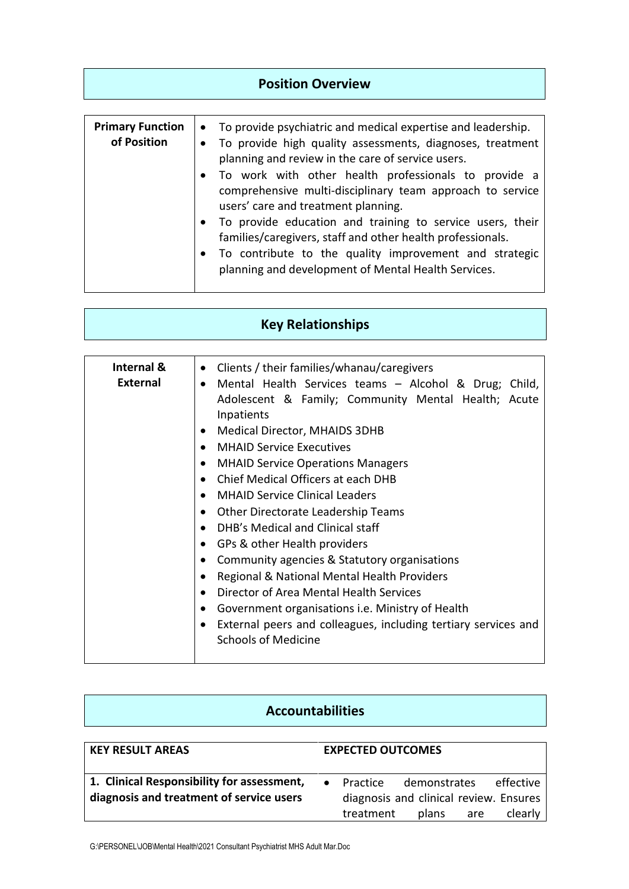| <b>Position Overview</b>               |                                                                                                                                                                                                                                                                                                                                                                                                                                                                                                                                                                                                                                            |  |
|----------------------------------------|--------------------------------------------------------------------------------------------------------------------------------------------------------------------------------------------------------------------------------------------------------------------------------------------------------------------------------------------------------------------------------------------------------------------------------------------------------------------------------------------------------------------------------------------------------------------------------------------------------------------------------------------|--|
| <b>Primary Function</b><br>of Position | To provide psychiatric and medical expertise and leadership.<br>$\bullet$<br>To provide high quality assessments, diagnoses, treatment<br>planning and review in the care of service users.<br>To work with other health professionals to provide a<br>$\bullet$<br>comprehensive multi-disciplinary team approach to service<br>users' care and treatment planning.<br>To provide education and training to service users, their<br>$\bullet$<br>families/caregivers, staff and other health professionals.<br>To contribute to the quality improvement and strategic<br>$\bullet$<br>planning and development of Mental Health Services. |  |

| <b>Key Relationships</b> |  |  |
|--------------------------|--|--|
|                          |  |  |

| Internal &<br><b>External</b> | Clients / their families/whanau/caregivers<br>$\bullet$<br>Mental Health Services teams - Alcohol & Drug; Child,<br>Adolescent & Family; Community Mental Health; Acute<br>Inpatients<br>Medical Director, MHAIDS 3DHB<br><b>MHAID Service Executives</b><br><b>MHAID Service Operations Managers</b><br>$\bullet$<br>Chief Medical Officers at each DHB<br><b>MHAID Service Clinical Leaders</b><br>Other Directorate Leadership Teams<br>DHB's Medical and Clinical staff<br>GPs & other Health providers<br>Community agencies & Statutory organisations<br>Regional & National Mental Health Providers<br>Director of Area Mental Health Services<br>Government organisations <i>i.e.</i> Ministry of Health<br>External peers and colleagues, including tertiary services and<br><b>Schools of Medicine</b> |
|-------------------------------|------------------------------------------------------------------------------------------------------------------------------------------------------------------------------------------------------------------------------------------------------------------------------------------------------------------------------------------------------------------------------------------------------------------------------------------------------------------------------------------------------------------------------------------------------------------------------------------------------------------------------------------------------------------------------------------------------------------------------------------------------------------------------------------------------------------|
|-------------------------------|------------------------------------------------------------------------------------------------------------------------------------------------------------------------------------------------------------------------------------------------------------------------------------------------------------------------------------------------------------------------------------------------------------------------------------------------------------------------------------------------------------------------------------------------------------------------------------------------------------------------------------------------------------------------------------------------------------------------------------------------------------------------------------------------------------------|

| <b>Accountabilities</b>                                                                |                                                                                                                         |  |
|----------------------------------------------------------------------------------------|-------------------------------------------------------------------------------------------------------------------------|--|
| <b>KEY RESULT AREAS</b>                                                                | <b>EXPECTED OUTCOMES</b>                                                                                                |  |
| 1. Clinical Responsibility for assessment,<br>diagnosis and treatment of service users | effective<br>demonstrates<br>Practice<br>diagnosis and clinical review. Ensures<br>treatment<br>clearly<br>plans<br>are |  |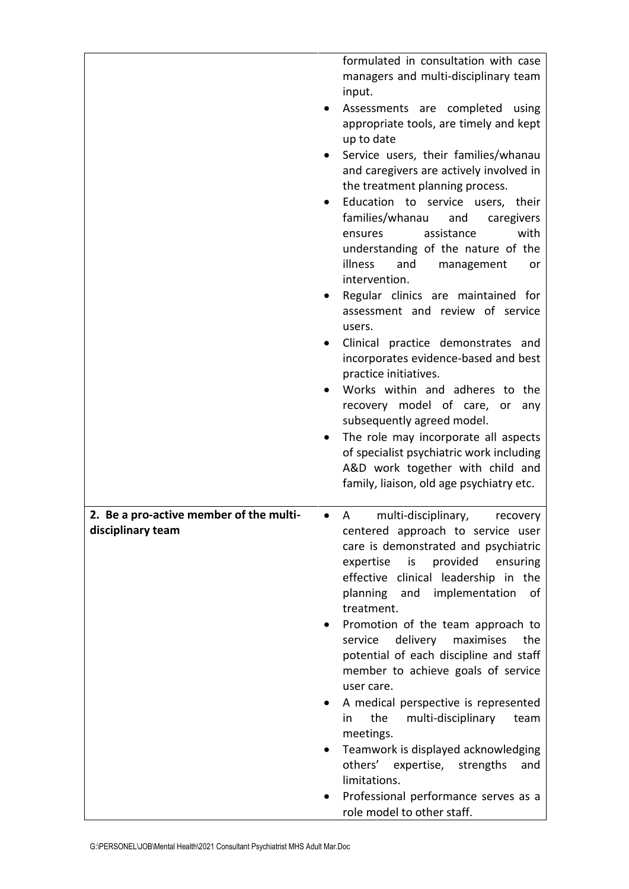|                                         | formulated in consultation with case<br>managers and multi-disciplinary team                 |
|-----------------------------------------|----------------------------------------------------------------------------------------------|
|                                         | input.                                                                                       |
|                                         | Assessments are completed using<br>appropriate tools, are timely and kept                    |
|                                         | up to date                                                                                   |
|                                         | Service users, their families/whanau                                                         |
|                                         | and caregivers are actively involved in                                                      |
|                                         | the treatment planning process.                                                              |
|                                         | Education to service users, their<br>٠                                                       |
|                                         | families/whanau<br>and<br>caregivers<br>assistance<br>with<br>ensures                        |
|                                         | understanding of the nature of the                                                           |
|                                         | illness<br>and<br>management<br>or                                                           |
|                                         | intervention.                                                                                |
|                                         | Regular clinics are maintained for                                                           |
|                                         | assessment and review of service                                                             |
|                                         | users.                                                                                       |
|                                         | Clinical practice demonstrates and<br>$\bullet$                                              |
|                                         | incorporates evidence-based and best<br>practice initiatives.                                |
|                                         | Works within and adheres to the                                                              |
|                                         | recovery model of care, or<br>any                                                            |
|                                         | subsequently agreed model.                                                                   |
|                                         | The role may incorporate all aspects<br>$\bullet$                                            |
|                                         | of specialist psychiatric work including                                                     |
|                                         | A&D work together with child and                                                             |
|                                         | family, liaison, old age psychiatry etc.                                                     |
| 2. Be a pro-active member of the multi- | multi-disciplinary,<br>A<br>recovery                                                         |
| disciplinary team                       | centered approach to service user                                                            |
|                                         | care is demonstrated and psychiatric                                                         |
|                                         | provided<br>expertise<br>is<br>ensuring                                                      |
|                                         | effective clinical leadership in the<br>implementation                                       |
|                                         | planning and<br>0f<br>treatment.                                                             |
|                                         | Promotion of the team approach to                                                            |
|                                         | delivery maximises<br>service<br>the                                                         |
|                                         | potential of each discipline and staff                                                       |
|                                         | member to achieve goals of service                                                           |
|                                         | user care.                                                                                   |
|                                         | A medical perspective is represented<br>$\bullet$<br>the<br>multi-disciplinary<br>in<br>team |
|                                         | meetings.                                                                                    |
|                                         | Teamwork is displayed acknowledging                                                          |
|                                         | others' expertise, strengths<br>and<br>limitations.                                          |
|                                         | Professional performance serves as a                                                         |
|                                         | role model to other staff.                                                                   |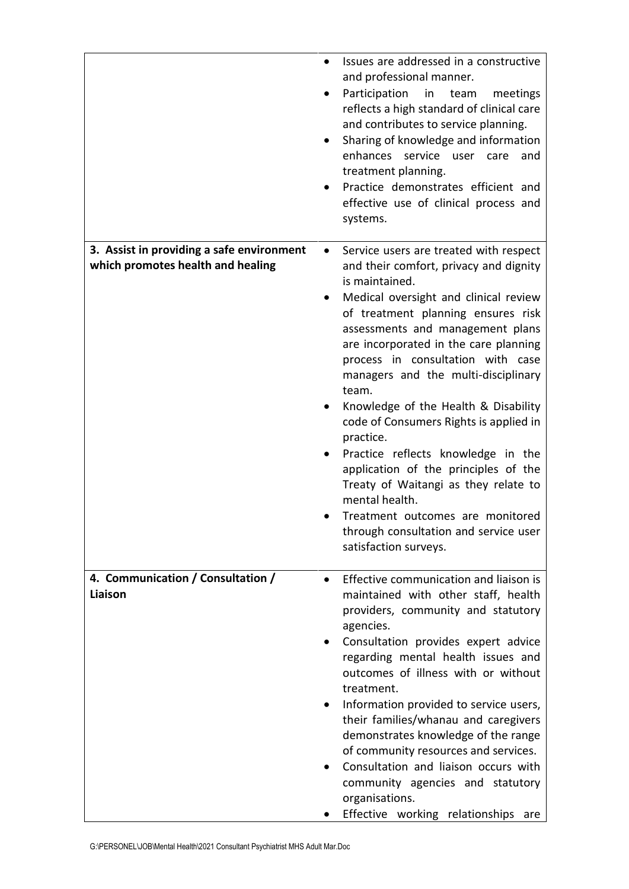|                                                                                | Issues are addressed in a constructive<br>and professional manner.<br>Participation<br>in<br>team<br>meetings<br>reflects a high standard of clinical care<br>and contributes to service planning.<br>Sharing of knowledge and information<br>enhances<br>service user care<br>and<br>treatment planning.<br>Practice demonstrates efficient and<br>effective use of clinical process and<br>systems.                                                                                                                                                                                                                                                                                                                      |
|--------------------------------------------------------------------------------|----------------------------------------------------------------------------------------------------------------------------------------------------------------------------------------------------------------------------------------------------------------------------------------------------------------------------------------------------------------------------------------------------------------------------------------------------------------------------------------------------------------------------------------------------------------------------------------------------------------------------------------------------------------------------------------------------------------------------|
| 3. Assist in providing a safe environment<br>which promotes health and healing | Service users are treated with respect<br>$\bullet$<br>and their comfort, privacy and dignity<br>is maintained.<br>Medical oversight and clinical review<br>of treatment planning ensures risk<br>assessments and management plans<br>are incorporated in the care planning<br>process in consultation with case<br>managers and the multi-disciplinary<br>team.<br>Knowledge of the Health & Disability<br>code of Consumers Rights is applied in<br>practice.<br>Practice reflects knowledge in the<br>$\bullet$<br>application of the principles of the<br>Treaty of Waitangi as they relate to<br>mental health.<br>Treatment outcomes are monitored<br>through consultation and service user<br>satisfaction surveys. |
| 4. Communication / Consultation /<br>Liaison                                   | Effective communication and liaison is<br>$\bullet$<br>maintained with other staff, health<br>providers, community and statutory<br>agencies.<br>Consultation provides expert advice<br>regarding mental health issues and<br>outcomes of illness with or without<br>treatment.<br>Information provided to service users,<br>their families/whanau and caregivers<br>demonstrates knowledge of the range<br>of community resources and services.<br>Consultation and liaison occurs with<br>$\bullet$<br>community agencies and statutory<br>organisations.<br>Effective working relationships are                                                                                                                         |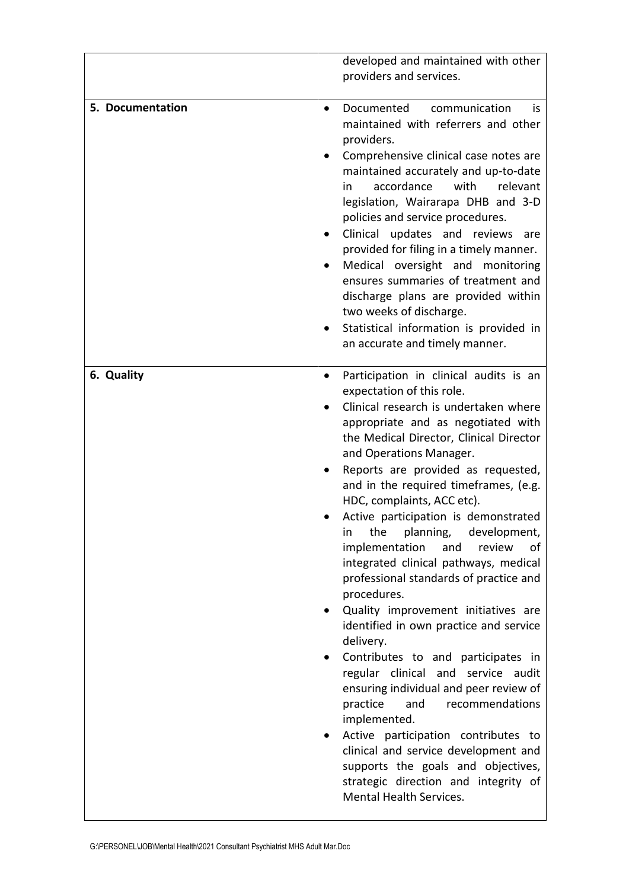|                  | developed and maintained with other<br>providers and services.                                                                                                                                                                                                                                                                                                                                                                                                                                                                                                                                                                                                                                                                                                                                                                                                                                                                                                                                                                                    |
|------------------|---------------------------------------------------------------------------------------------------------------------------------------------------------------------------------------------------------------------------------------------------------------------------------------------------------------------------------------------------------------------------------------------------------------------------------------------------------------------------------------------------------------------------------------------------------------------------------------------------------------------------------------------------------------------------------------------------------------------------------------------------------------------------------------------------------------------------------------------------------------------------------------------------------------------------------------------------------------------------------------------------------------------------------------------------|
| 5. Documentation | communication<br>Documented<br>İS.<br>$\bullet$<br>maintained with referrers and other<br>providers.<br>Comprehensive clinical case notes are<br>maintained accurately and up-to-date<br>accordance<br>with<br>relevant<br>in.<br>legislation, Wairarapa DHB and 3-D<br>policies and service procedures.<br>Clinical updates and reviews are<br>$\bullet$<br>provided for filing in a timely manner.<br>Medical oversight and monitoring<br>٠<br>ensures summaries of treatment and<br>discharge plans are provided within<br>two weeks of discharge.<br>Statistical information is provided in<br>an accurate and timely manner.                                                                                                                                                                                                                                                                                                                                                                                                                 |
| 6. Quality       | Participation in clinical audits is an<br>expectation of this role.<br>Clinical research is undertaken where<br>appropriate and as negotiated with<br>the Medical Director, Clinical Director<br>and Operations Manager.<br>Reports are provided as requested,<br>and in the required timeframes, (e.g.<br>HDC, complaints, ACC etc).<br>Active participation is demonstrated<br>planning,<br>development,<br>the<br>in<br>implementation<br>and<br>review<br>οf<br>integrated clinical pathways, medical<br>professional standards of practice and<br>procedures.<br>Quality improvement initiatives are<br>identified in own practice and service<br>delivery.<br>Contributes to and participates in<br>regular clinical and service audit<br>ensuring individual and peer review of<br>practice<br>and<br>recommendations<br>implemented.<br>Active participation contributes to<br>$\bullet$<br>clinical and service development and<br>supports the goals and objectives,<br>strategic direction and integrity of<br>Mental Health Services. |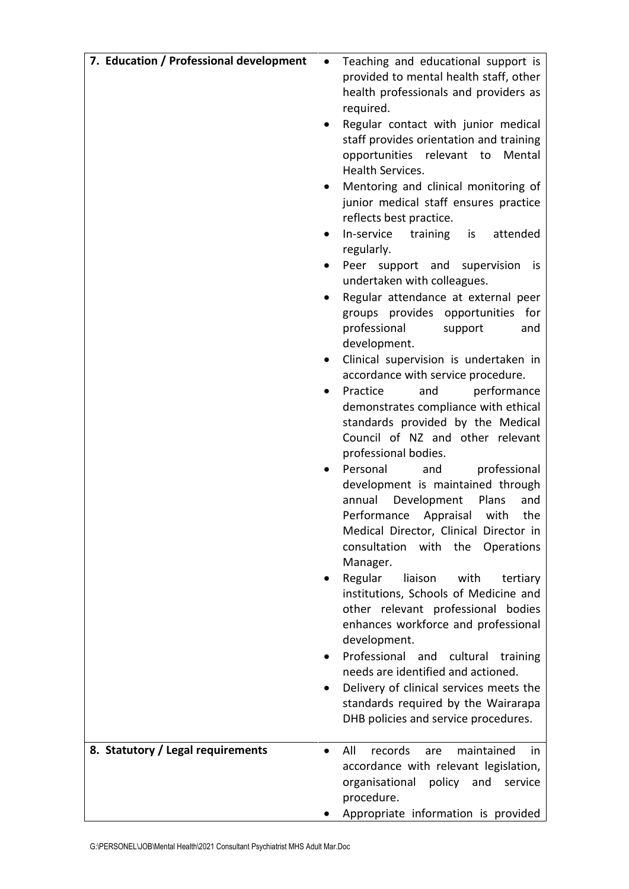| 7. Education / Professional development | Teaching and educational support is<br>provided to mental health staff, other<br>health professionals and providers as<br>required.<br>Regular contact with junior medical<br>staff provides orientation and training<br>opportunities relevant to<br>Mental<br><b>Health Services.</b><br>Mentoring and clinical monitoring of<br>junior medical staff ensures practice<br>reflects best practice.<br>In-service<br>training<br>is<br>attended<br>٠<br>regularly.<br>Peer support and<br>supervision<br>is.<br>٠<br>undertaken with colleagues.<br>Regular attendance at external peer<br>groups provides opportunities for<br>professional<br>support<br>and<br>development.<br>Clinical supervision is undertaken in<br>accordance with service procedure.<br>Practice<br>performance<br>and<br>٠<br>demonstrates compliance with ethical<br>standards provided by the Medical<br>Council of NZ and other relevant<br>professional bodies.<br>Personal<br>professional<br>and<br>development is maintained through<br>annual<br>Development<br>Plans<br>and<br>Performance<br>Appraisal<br>with<br>the<br>Medical Director, Clinical Director in<br>consultation with the Operations<br>Manager.<br>Regular<br>liaison<br>with<br>tertiary<br>institutions, Schools of Medicine and<br>other relevant professional bodies<br>enhances workforce and professional<br>development.<br>Professional and cultural<br>training<br>needs are identified and actioned.<br>Delivery of clinical services meets the<br>standards required by the Wairarapa |
|-----------------------------------------|------------------------------------------------------------------------------------------------------------------------------------------------------------------------------------------------------------------------------------------------------------------------------------------------------------------------------------------------------------------------------------------------------------------------------------------------------------------------------------------------------------------------------------------------------------------------------------------------------------------------------------------------------------------------------------------------------------------------------------------------------------------------------------------------------------------------------------------------------------------------------------------------------------------------------------------------------------------------------------------------------------------------------------------------------------------------------------------------------------------------------------------------------------------------------------------------------------------------------------------------------------------------------------------------------------------------------------------------------------------------------------------------------------------------------------------------------------------------------------------------------------------------------------------------------|
|                                         | DHB policies and service procedures.                                                                                                                                                                                                                                                                                                                                                                                                                                                                                                                                                                                                                                                                                                                                                                                                                                                                                                                                                                                                                                                                                                                                                                                                                                                                                                                                                                                                                                                                                                                 |
| 8. Statutory / Legal requirements       | All<br>maintained<br>records<br>are<br>in<br>accordance with relevant legislation,<br>organisational policy and<br>service<br>procedure.<br>Appropriate information is provided                                                                                                                                                                                                                                                                                                                                                                                                                                                                                                                                                                                                                                                                                                                                                                                                                                                                                                                                                                                                                                                                                                                                                                                                                                                                                                                                                                      |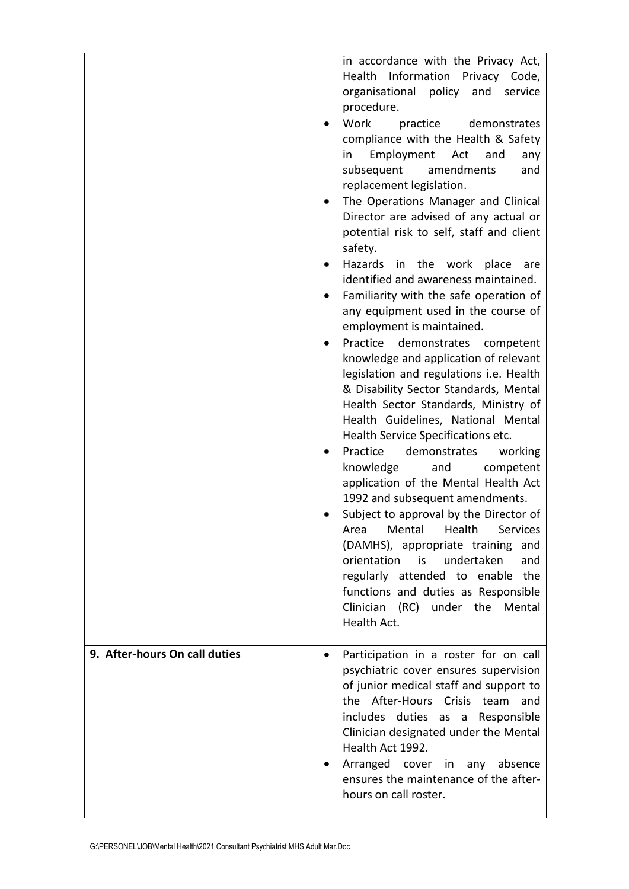in accordance with the Privacy Act, Health Information Privacy Code, organisational policy and service procedure.

- Work practice demonstrates compliance with the Health & Safety in Employment Act and any subsequent amendments and replacement legislation.
- The Operations Manager and Clinical Director are advised of any actual or potential risk to self, staff and client safety.
- Hazards in the work place are identified and awareness maintained.
- Familiarity with the safe operation of any equipment used in the course of employment is maintained.
- Practice demonstrates competent knowledge and application of relevant legislation and regulations i.e. Health & Disability Sector Standards, Mental Health Sector Standards, Ministry of Health Guidelines, National Mental Health Service Specifications etc.
- Practice demonstrates working knowledge and competent application of the Mental Health Act 1992 and subsequent amendments.
- Subject to approval by the Director of Area Mental Health Services (DAMHS), appropriate training and orientation is undertaken and regularly attended to enable the functions and duties as Responsible Clinician (RC) under the Mental Health Act.

hours on call roster.

## **9. After-hours On call duties** • Participation in a roster for on call psychiatric cover ensures supervision of junior medical staff and support to the After-Hours Crisis team and includes duties as a Responsible Clinician designated under the Mental Health Act 1992. Arranged cover in any absence ensures the maintenance of the after-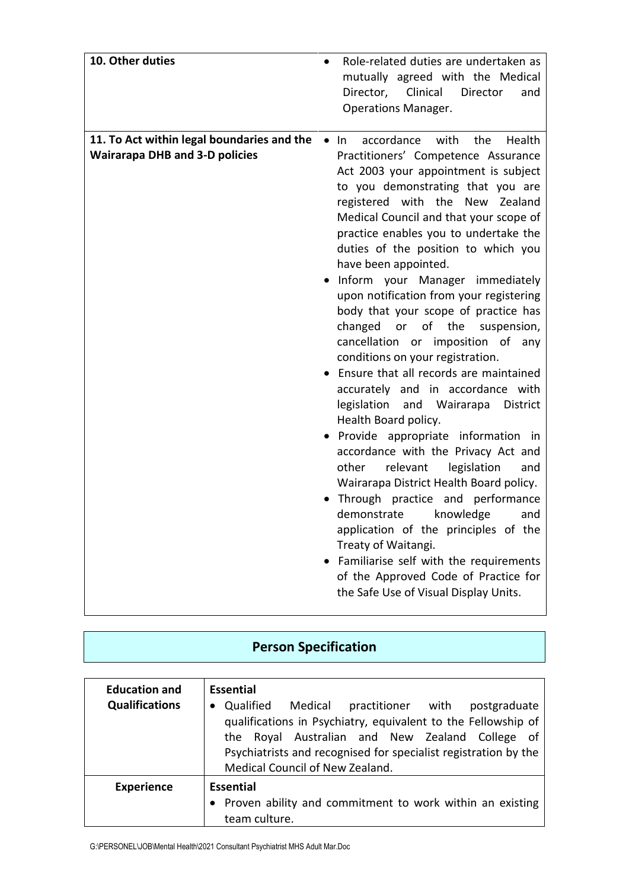| 10. Other duties                                                                    | Role-related duties are undertaken as<br>$\bullet$<br>mutually agreed with the Medical<br>Clinical<br>Director,<br>Director<br>and<br><b>Operations Manager.</b>                                                                                                                                                                                                                                                                                                                                                                                                                                                                                                                                                                                                                                                                                                                                                                                                                                                                                                                                                                                                                                |
|-------------------------------------------------------------------------------------|-------------------------------------------------------------------------------------------------------------------------------------------------------------------------------------------------------------------------------------------------------------------------------------------------------------------------------------------------------------------------------------------------------------------------------------------------------------------------------------------------------------------------------------------------------------------------------------------------------------------------------------------------------------------------------------------------------------------------------------------------------------------------------------------------------------------------------------------------------------------------------------------------------------------------------------------------------------------------------------------------------------------------------------------------------------------------------------------------------------------------------------------------------------------------------------------------|
| 11. To Act within legal boundaries and the<br><b>Wairarapa DHB and 3-D policies</b> | Health<br>accordance<br>with<br>the<br>$\bullet$ In<br>Practitioners' Competence Assurance<br>Act 2003 your appointment is subject<br>to you demonstrating that you are<br>registered with the New Zealand<br>Medical Council and that your scope of<br>practice enables you to undertake the<br>duties of the position to which you<br>have been appointed.<br>Inform your Manager immediately<br>upon notification from your registering<br>body that your scope of practice has<br>changed<br>of<br>the<br>or<br>suspension,<br>cancellation or imposition of any<br>conditions on your registration.<br>Ensure that all records are maintained<br>accurately and in accordance with<br>legislation<br>and Wairarapa<br>District<br>Health Board policy.<br>Provide appropriate information in<br>accordance with the Privacy Act and<br>relevant<br>legislation<br>other<br>and<br>Wairarapa District Health Board policy.<br>Through practice and performance<br>demonstrate<br>knowledge<br>and<br>application of the principles of the<br>Treaty of Waitangi.<br>Familiarise self with the requirements<br>of the Approved Code of Practice for<br>the Safe Use of Visual Display Units. |

# **Person Specification**

| <b>Education and</b><br><b>Qualifications</b> | Essential<br>Qualified Medical<br>postgraduate<br>practitioner with<br>qualifications in Psychiatry, equivalent to the Fellowship of<br>the Royal Australian and New Zealand College of<br>Psychiatrists and recognised for specialist registration by the<br>Medical Council of New Zealand. |
|-----------------------------------------------|-----------------------------------------------------------------------------------------------------------------------------------------------------------------------------------------------------------------------------------------------------------------------------------------------|
| <b>Experience</b>                             | <b>Essential</b><br>Proven ability and commitment to work within an existing<br>team culture.                                                                                                                                                                                                 |